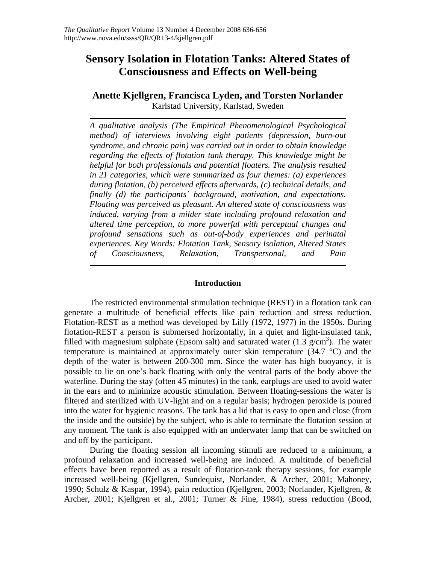# **Sensory Isolation in Flotation Tanks: Altered States of Consciousness and Effects on Well-being**

# **Anette Kjellgren, Francisca Lyden, and Torsten Norlander**  Karlstad University, Karlstad, Sweden

*A qualitative analysis (The Empirical Phenomenological Psychological method) of interviews involving eight patients (depression, burn-out syndrome, and chronic pain) was carried out in order to obtain knowledge regarding the effects of flotation tank therapy. This knowledge might be helpful for both professionals and potential floaters. The analysis resulted in 21 categories, which were summarized as four themes: (a) experiences during flotation, (b) perceived effects afterwards, (c) technical details, and finally (d) the participants´ background, motivation, and expectations. Floating was perceived as pleasant. An altered state of consciousness was induced, varying from a milder state including profound relaxation and altered time perception, to more powerful with perceptual changes and profound sensations such as out-of-body experiences and perinatal experiences. Key Words: Flotation Tank, Sensory Isolation, Altered States of Consciousness, Relaxation, Transpersonal, and Pain*

# **Introduction**

The restricted environmental stimulation technique (REST) in a flotation tank can generate a multitude of beneficial effects like pain reduction and stress reduction. Flotation-REST as a method was developed by Lilly (1972, 1977) in the 1950s. During flotation-REST a person is submersed horizontally, in a quiet and light-insulated tank, filled with magnesium sulphate (Epsom salt) and saturated water  $(1.3 \text{ g/cm}^3)$ . The water temperature is maintained at approximately outer skin temperature (34.7 °C) and the depth of the water is between 200-300 mm. Since the water has high buoyancy, it is possible to lie on one's back floating with only the ventral parts of the body above the waterline. During the stay (often 45 minutes) in the tank, earplugs are used to avoid water in the ears and to minimize acoustic stimulation. Between floating-sessions the water is filtered and sterilized with UV-light and on a regular basis; hydrogen peroxide is poured into the water for hygienic reasons. The tank has a lid that is easy to open and close (from the inside and the outside) by the subject, who is able to terminate the flotation session at any moment. The tank is also equipped with an underwater lamp that can be switched on and off by the participant.

 During the floating session all incoming stimuli are reduced to a minimum, a profound relaxation and increased well-being are induced. A multitude of beneficial effects have been reported as a result of flotation-tank therapy sessions, for example increased well-being (Kjellgren, Sundequist, Norlander, & Archer, 2001; Mahoney, 1990; Schulz & Kaspar, 1994), pain reduction (Kjellgren, 2003; Norlander, Kjellgren, & Archer, 2001; Kjellgren et al., 2001; Turner & Fine, 1984), stress reduction (Bood,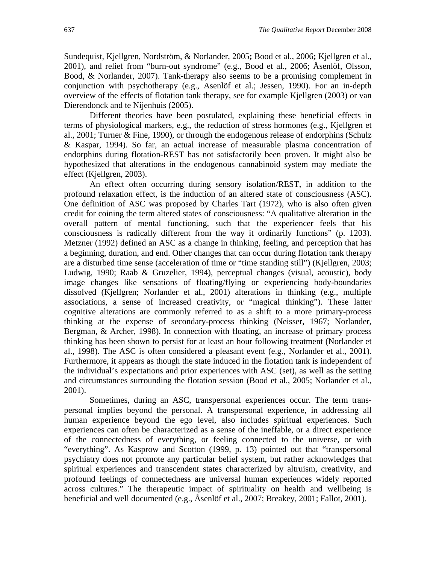Sundequist, Kjellgren, Nordström, & Norlander, 2005**;** Bood et al., 2006**;** Kjellgren et al., 2001), and relief from "burn-out syndrome" (e.g., Bood et al., 2006; Åsenlöf, Olsson, Bood, & Norlander, 2007). Tank-therapy also seems to be a promising complement in conjunction with psychotherapy (e.g., Asenlöf et al.; Jessen, 1990). For an in-depth overview of the effects of flotation tank therapy, see for example Kjellgren (2003) or van Dierendonck and te Nijenhuis (2005).

Different theories have been postulated, explaining these beneficial effects in terms of physiological markers, e.g., the reduction of stress hormones (e.g., Kjellgren et al., 2001; Turner & Fine, 1990), or through the endogenous release of endorphins (Schulz & Kaspar, 1994). So far, an actual increase of measurable plasma concentration of endorphins during flotation-REST has not satisfactorily been proven. It might also be hypothesized that alterations in the endogenous cannabinoid system may mediate the effect (Kjellgren, 2003).

 An effect often occurring during sensory isolation/REST, in addition to the profound relaxation effect, is the induction of an altered state of consciousness (ASC). One definition of ASC was proposed by Charles Tart (1972), who is also often given credit for coining the term altered states of consciousness: "A qualitative alteration in the overall pattern of mental functioning, such that the experiencer feels that his consciousness is radically different from the way it ordinarily functions" (p. 1203)*.*  Metzner (1992) defined an ASC as a change in thinking, feeling, and perception that has a beginning, duration, and end. Other changes that can occur during flotation tank therapy are a disturbed time sense (acceleration of time or "time standing still") (Kjellgren, 2003; Ludwig, 1990; Raab & Gruzelier, 1994), perceptual changes (visual, acoustic), body image changes like sensations of floating/flying or experiencing body-boundaries dissolved (Kjellgren; Norlander et al., 2001) alterations in thinking (e.g., multiple associations, a sense of increased creativity, or "magical thinking"). These latter cognitive alterations are commonly referred to as a shift to a more primary-process thinking at the expense of secondary-process thinking (Neisser, 1967; Norlander, Bergman, & Archer, 1998). In connection with floating, an increase of primary process thinking has been shown to persist for at least an hour following treatment (Norlander et al., 1998). The ASC is often considered a pleasant event (e.g., Norlander et al., 2001). Furthermore, it appears as though the state induced in the flotation tank is independent of the individual's expectations and prior experiences with ASC (set), as well as the setting and circumstances surrounding the flotation session (Bood et al., 2005; Norlander et al., 2001).

 Sometimes, during an ASC, transpersonal experiences occur. The term transpersonal implies beyond the personal. A transpersonal experience, in addressing all human experience beyond the ego level, also includes spiritual experiences. Such experiences can often be characterized as a sense of the ineffable, or a direct experience of the connectedness of everything, or feeling connected to the universe, or with "everything". As Kasprow and Scotton (1999, p. 13) pointed out that "transpersonal psychiatry does not promote any particular belief system, but rather acknowledges that spiritual experiences and transcendent states characterized by altruism, creativity, and profound feelings of connectedness are universal human experiences widely reported across cultures." The therapeutic impact of spirituality on health and wellbeing is beneficial and well documented (e.g., Åsenlöf et al., 2007; Breakey, 2001; Fallot, 2001).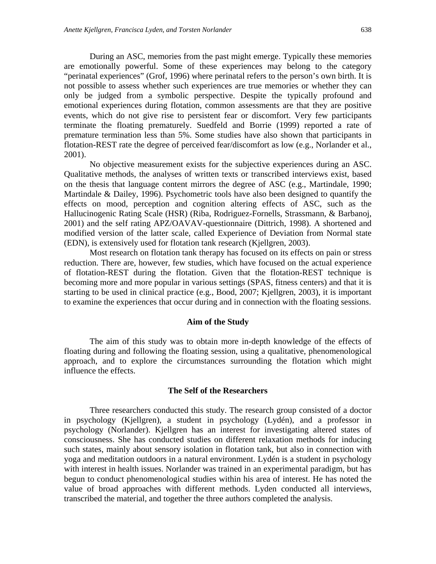During an ASC, memories from the past might emerge. Typically these memories are emotionally powerful. Some of these experiences may belong to the category "perinatal experiences" (Grof, 1996) where perinatal refers to the person's own birth. It is not possible to assess whether such experiences are true memories or whether they can only be judged from a symbolic perspective. Despite the typically profound and emotional experiences during flotation, common assessments are that they are positive events, which do not give rise to persistent fear or discomfort. Very few participants terminate the floating prematurely. Suedfeld and Borrie (1999) reported a rate of premature termination less than 5%. Some studies have also shown that participants in flotation-REST rate the degree of perceived fear/discomfort as low (e.g., Norlander et al., 2001).

No objective measurement exists for the subjective experiences during an ASC. Qualitative methods, the analyses of written texts or transcribed interviews exist, based on the thesis that language content mirrors the degree of ASC (e.g., Martindale, 1990; Martindale & Dailey, 1996). Psychometric tools have also been designed to quantify the effects on mood, perception and cognition altering effects of ASC, such as the Hallucinogenic Rating Scale (HSR) (Riba, Rodriguez-Fornells, Strassmann, & Barbanoj, 2001) and the self rating APZ/OAVAV-questionnaire (Dittrich, 1998). A shortened and modified version of the latter scale, called Experience of Deviation from Normal state (EDN), is extensively used for flotation tank research (Kjellgren, 2003).

 Most research on flotation tank therapy has focused on its effects on pain or stress reduction. There are, however, few studies, which have focused on the actual experience of flotation-REST during the flotation. Given that the flotation-REST technique is becoming more and more popular in various settings (SPAS, fitness centers) and that it is starting to be used in clinical practice (e.g., Bood, 2007; Kjellgren, 2003), it is important to examine the experiences that occur during and in connection with the floating sessions.

#### **Aim of the Study**

 The aim of this study was to obtain more in-depth knowledge of the effects of floating during and following the floating session, using a qualitative, phenomenological approach, and to explore the circumstances surrounding the flotation which might influence the effects.

## **The Self of the Researchers**

Three researchers conducted this study. The research group consisted of a doctor in psychology (Kjellgren), a student in psychology (Lydén), and a professor in psychology (Norlander). Kjellgren has an interest for investigating altered states of consciousness. She has conducted studies on different relaxation methods for inducing such states, mainly about sensory isolation in flotation tank, but also in connection with yoga and meditation outdoors in a natural environment. Lydén is a student in psychology with interest in health issues. Norlander was trained in an experimental paradigm, but has begun to conduct phenomenological studies within his area of interest. He has noted the value of broad approaches with different methods. Lyden conducted all interviews, transcribed the material, and together the three authors completed the analysis.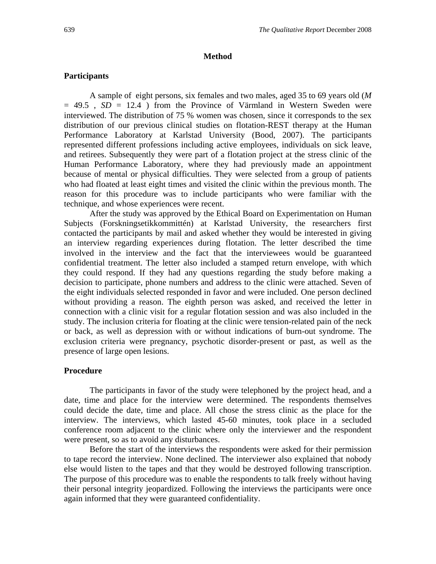## **Method**

# **Participants**

A sample of eight persons, six females and two males, aged 35 to 69 years old (*M*  $= 49.5$ ,  $SD = 12.4$  ) from the Province of Värmland in Western Sweden were interviewed. The distribution of 75 % women was chosen, since it corresponds to the sex distribution of our previous clinical studies on flotation-REST therapy at the Human Performance Laboratory at Karlstad University (Bood, 2007). The participants represented different professions including active employees, individuals on sick leave, and retirees. Subsequently they were part of a flotation project at the stress clinic of the Human Performance Laboratory, where they had previously made an appointment because of mental or physical difficulties. They were selected from a group of patients who had floated at least eight times and visited the clinic within the previous month. The reason for this procedure was to include participants who were familiar with the technique, and whose experiences were recent.

After the study was approved by the Ethical Board on Experimentation on Human Subjects (Forskningsetikkommittén) at Karlstad University, the researchers first contacted the participants by mail and asked whether they would be interested in giving an interview regarding experiences during flotation. The letter described the time involved in the interview and the fact that the interviewees would be guaranteed confidential treatment. The letter also included a stamped return envelope, with which they could respond. If they had any questions regarding the study before making a decision to participate, phone numbers and address to the clinic were attached. Seven of the eight individuals selected responded in favor and were included. One person declined without providing a reason. The eighth person was asked, and received the letter in connection with a clinic visit for a regular flotation session and was also included in the study. The inclusion criteria for floating at the clinic were tension-related pain of the neck or back, as well as depression with or without indications of burn-out syndrome. The exclusion criteria were pregnancy, psychotic disorder-present or past, as well as the presence of large open lesions.

## **Procedure**

The participants in favor of the study were telephoned by the project head, and a date, time and place for the interview were determined. The respondents themselves could decide the date, time and place. All chose the stress clinic as the place for the interview. The interviews, which lasted 45-60 minutes, took place in a secluded conference room adjacent to the clinic where only the interviewer and the respondent were present, so as to avoid any disturbances.

Before the start of the interviews the respondents were asked for their permission to tape record the interview. None declined. The interviewer also explained that nobody else would listen to the tapes and that they would be destroyed following transcription. The purpose of this procedure was to enable the respondents to talk freely without having their personal integrity jeopardized. Following the interviews the participants were once again informed that they were guaranteed confidentiality.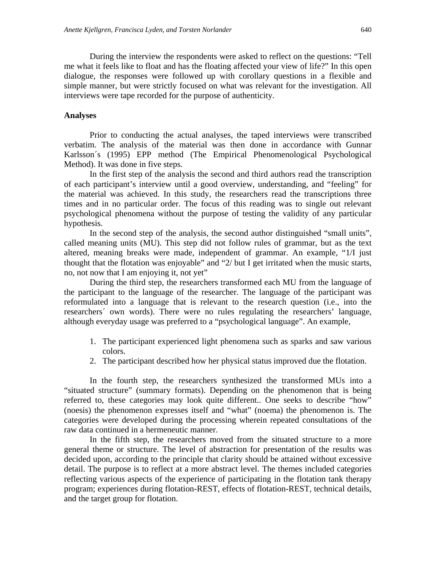During the interview the respondents were asked to reflect on the questions: "Tell me what it feels like to float and has the floating affected your view of life?" In this open dialogue, the responses were followed up with corollary questions in a flexible and simple manner, but were strictly focused on what was relevant for the investigation. All interviews were tape recorded for the purpose of authenticity.

## **Analyses**

Prior to conducting the actual analyses, the taped interviews were transcribed verbatim. The analysis of the material was then done in accordance with Gunnar Karlsson´s (1995) EPP method (The Empirical Phenomenological Psychological Method). It was done in five steps.

In the first step of the analysis the second and third authors read the transcription of each participant's interview until a good overview, understanding, and "feeling" for the material was achieved. In this study, the researchers read the transcriptions three times and in no particular order. The focus of this reading was to single out relevant psychological phenomena without the purpose of testing the validity of any particular hypothesis.

In the second step of the analysis, the second author distinguished "small units", called meaning units (MU). This step did not follow rules of grammar, but as the text altered, meaning breaks were made, independent of grammar. An example, "1/I just thought that the flotation was enjoyable" and "2/ but I get irritated when the music starts, no, not now that I am enjoying it, not yet"

During the third step, the researchers transformed each MU from the language of the participant to the language of the researcher. The language of the participant was reformulated into a language that is relevant to the research question (i.e., into the researchers´ own words). There were no rules regulating the researchers' language, although everyday usage was preferred to a "psychological language". An example,

- 1. The participant experienced light phenomena such as sparks and saw various colors.
- 2. The participant described how her physical status improved due the flotation.

In the fourth step, the researchers synthesized the transformed MUs into a "situated structure" (summary formats). Depending on the phenomenon that is being referred to, these categories may look quite different.. One seeks to describe "how" (noesis) the phenomenon expresses itself and "what" (noema) the phenomenon is. The categories were developed during the processing wherein repeated consultations of the raw data continued in a hermeneutic manner.

In the fifth step, the researchers moved from the situated structure to a more general theme or structure. The level of abstraction for presentation of the results was decided upon, according to the principle that clarity should be attained without excessive detail. The purpose is to reflect at a more abstract level. The themes included categories reflecting various aspects of the experience of participating in the flotation tank therapy program; experiences during flotation-REST, effects of flotation-REST, technical details, and the target group for flotation.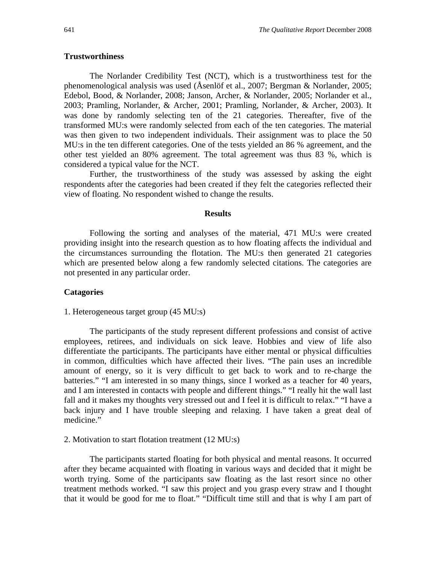## **Trustworthiness**

The Norlander Credibility Test (NCT), which is a trustworthiness test for the phenomenological analysis was used (Åsenlöf et al., 2007; Bergman & Norlander, 2005; Edebol, Bood, & Norlander, 2008; Janson, Archer, & Norlander, 2005; Norlander et al., 2003; Pramling, Norlander, & Archer, 2001; Pramling, Norlander, & Archer, 2003). It was done by randomly selecting ten of the 21 categories. Thereafter, five of the transformed MU:s were randomly selected from each of the ten categories. The material was then given to two independent individuals. Their assignment was to place the 50 MU:s in the ten different categories. One of the tests yielded an 86 % agreement, and the other test yielded an 80% agreement. The total agreement was thus 83 %, which is considered a typical value for the NCT.

Further, the trustworthiness of the study was assessed by asking the eight respondents after the categories had been created if they felt the categories reflected their view of floating. No respondent wished to change the results.

#### **Results**

Following the sorting and analyses of the material, 471 MU:s were created providing insight into the research question as to how floating affects the individual and the circumstances surrounding the flotation. The MU:s then generated 21 categories which are presented below along a few randomly selected citations. The categories are not presented in any particular order.

## **Catagories**

#### 1. Heterogeneous target group (45 MU:s)

The participants of the study represent different professions and consist of active employees, retirees, and individuals on sick leave. Hobbies and view of life also differentiate the participants. The participants have either mental or physical difficulties in common, difficulties which have affected their lives. "The pain uses an incredible amount of energy, so it is very difficult to get back to work and to re-charge the batteries." "I am interested in so many things, since I worked as a teacher for 40 years, and I am interested in contacts with people and different things." "I really hit the wall last fall and it makes my thoughts very stressed out and I feel it is difficult to relax." "I have a back injury and I have trouble sleeping and relaxing. I have taken a great deal of medicine."

#### 2. Motivation to start flotation treatment (12 MU:s)

The participants started floating for both physical and mental reasons. It occurred after they became acquainted with floating in various ways and decided that it might be worth trying. Some of the participants saw floating as the last resort since no other treatment methods worked. "I saw this project and you grasp every straw and I thought that it would be good for me to float." "Difficult time still and that is why I am part of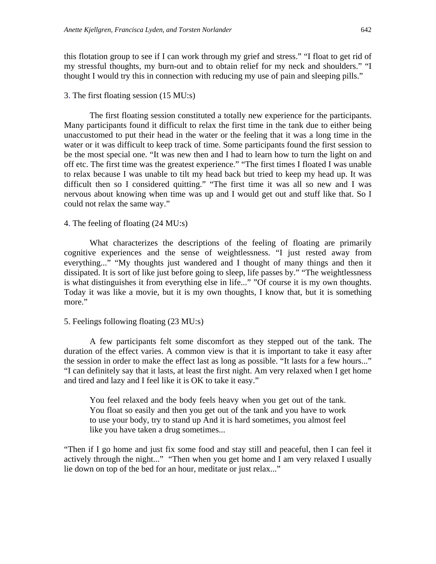this flotation group to see if I can work through my grief and stress." "I float to get rid of my stressful thoughts, my burn-out and to obtain relief for my neck and shoulders." "I thought I would try this in connection with reducing my use of pain and sleeping pills."

## 3. The first floating session (15 MU:s)

The first floating session constituted a totally new experience for the participants. Many participants found it difficult to relax the first time in the tank due to either being unaccustomed to put their head in the water or the feeling that it was a long time in the water or it was difficult to keep track of time. Some participants found the first session to be the most special one. "It was new then and I had to learn how to turn the light on and off etc. The first time was the greatest experience." "The first times I floated I was unable to relax because I was unable to tilt my head back but tried to keep my head up. It was difficult then so I considered quitting." "The first time it was all so new and I was nervous about knowing when time was up and I would get out and stuff like that. So I could not relax the same way."

## 4. The feeling of floating (24 MU:s)

What characterizes the descriptions of the feeling of floating are primarily cognitive experiences and the sense of weightlessness. "I just rested away from everything..." "My thoughts just wandered and I thought of many things and then it dissipated. It is sort of like just before going to sleep, life passes by." "The weightlessness is what distinguishes it from everything else in life..." "Of course it is my own thoughts. Today it was like a movie, but it is my own thoughts, I know that, but it is something more."

## 5. Feelings following floating (23 MU:s)

A few participants felt some discomfort as they stepped out of the tank. The duration of the effect varies. A common view is that it is important to take it easy after the session in order to make the effect last as long as possible. "It lasts for a few hours..." "I can definitely say that it lasts, at least the first night. Am very relaxed when I get home and tired and lazy and I feel like it is OK to take it easy."

You feel relaxed and the body feels heavy when you get out of the tank. You float so easily and then you get out of the tank and you have to work to use your body, try to stand up And it is hard sometimes, you almost feel like you have taken a drug sometimes...

"Then if I go home and just fix some food and stay still and peaceful, then I can feel it actively through the night..." "Then when you get home and I am very relaxed I usually lie down on top of the bed for an hour, meditate or just relax..."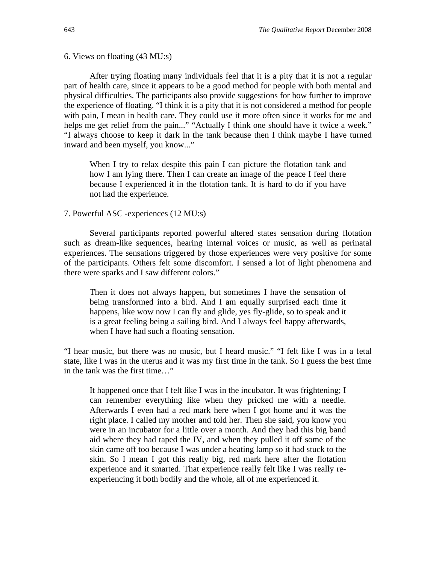6. Views on floating (43 MU:s)

After trying floating many individuals feel that it is a pity that it is not a regular part of health care, since it appears to be a good method for people with both mental and physical difficulties. The participants also provide suggestions for how further to improve the experience of floating. "I think it is a pity that it is not considered a method for people with pain, I mean in health care. They could use it more often since it works for me and helps me get relief from the pain..." "Actually I think one should have it twice a week." "I always choose to keep it dark in the tank because then I think maybe I have turned inward and been myself, you know..."

When I try to relax despite this pain I can picture the flotation tank and how I am lying there. Then I can create an image of the peace I feel there because I experienced it in the flotation tank. It is hard to do if you have not had the experience.

7. Powerful ASC -experiences (12 MU:s)

Several participants reported powerful altered states sensation during flotation such as dream-like sequences, hearing internal voices or music, as well as perinatal experiences. The sensations triggered by those experiences were very positive for some of the participants. Others felt some discomfort. I sensed a lot of light phenomena and there were sparks and I saw different colors."

Then it does not always happen, but sometimes I have the sensation of being transformed into a bird. And I am equally surprised each time it happens, like wow now I can fly and glide, yes fly-glide, so to speak and it is a great feeling being a sailing bird. And I always feel happy afterwards, when I have had such a floating sensation.

"I hear music, but there was no music, but I heard music." "I felt like I was in a fetal state, like I was in the uterus and it was my first time in the tank. So I guess the best time in the tank was the first time…"

It happened once that I felt like I was in the incubator. It was frightening; I can remember everything like when they pricked me with a needle. Afterwards I even had a red mark here when I got home and it was the right place. I called my mother and told her. Then she said, you know you were in an incubator for a little over a month. And they had this big band aid where they had taped the IV, and when they pulled it off some of the skin came off too because I was under a heating lamp so it had stuck to the skin. So I mean I got this really big, red mark here after the flotation experience and it smarted. That experience really felt like I was really reexperiencing it both bodily and the whole, all of me experienced it.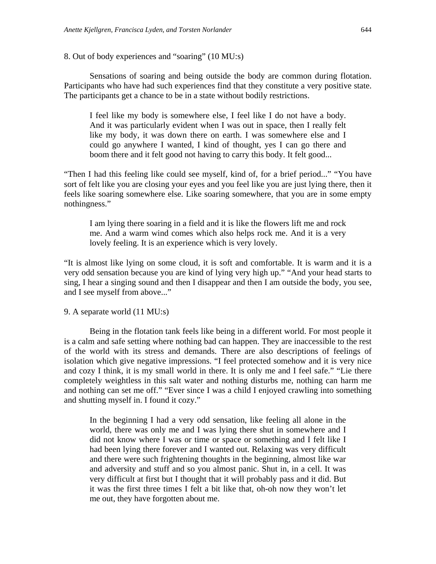8. Out of body experiences and "soaring" (10 MU:s)

Sensations of soaring and being outside the body are common during flotation. Participants who have had such experiences find that they constitute a very positive state. The participants get a chance to be in a state without bodily restrictions.

I feel like my body is somewhere else, I feel like I do not have a body. And it was particularly evident when I was out in space, then I really felt like my body, it was down there on earth. I was somewhere else and I could go anywhere I wanted, I kind of thought, yes I can go there and boom there and it felt good not having to carry this body. It felt good...

"Then I had this feeling like could see myself, kind of, for a brief period..." "You have sort of felt like you are closing your eyes and you feel like you are just lying there, then it feels like soaring somewhere else. Like soaring somewhere, that you are in some empty nothingness."

I am lying there soaring in a field and it is like the flowers lift me and rock me. And a warm wind comes which also helps rock me. And it is a very lovely feeling. It is an experience which is very lovely.

"It is almost like lying on some cloud, it is soft and comfortable. It is warm and it is a very odd sensation because you are kind of lying very high up." "And your head starts to sing, I hear a singing sound and then I disappear and then I am outside the body, you see, and I see myself from above..."

9. A separate world (11 MU:s)

Being in the flotation tank feels like being in a different world. For most people it is a calm and safe setting where nothing bad can happen. They are inaccessible to the rest of the world with its stress and demands. There are also descriptions of feelings of isolation which give negative impressions. "I feel protected somehow and it is very nice and cozy I think, it is my small world in there. It is only me and I feel safe." "Lie there completely weightless in this salt water and nothing disturbs me, nothing can harm me and nothing can set me off." "Ever since I was a child I enjoyed crawling into something and shutting myself in. I found it cozy."

In the beginning I had a very odd sensation, like feeling all alone in the world, there was only me and I was lying there shut in somewhere and I did not know where I was or time or space or something and I felt like I had been lying there forever and I wanted out. Relaxing was very difficult and there were such frightening thoughts in the beginning, almost like war and adversity and stuff and so you almost panic. Shut in, in a cell. It was very difficult at first but I thought that it will probably pass and it did. But it was the first three times I felt a bit like that, oh-oh now they won't let me out, they have forgotten about me.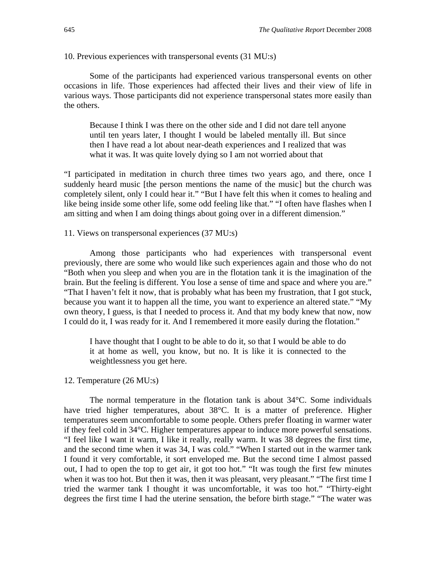10. Previous experiences with transpersonal events (31 MU:s)

 Some of the participants had experienced various transpersonal events on other occasions in life. Those experiences had affected their lives and their view of life in various ways. Those participants did not experience transpersonal states more easily than the others.

Because I think I was there on the other side and I did not dare tell anyone until ten years later, I thought I would be labeled mentally ill. But since then I have read a lot about near-death experiences and I realized that was what it was. It was quite lovely dying so I am not worried about that

"I participated in meditation in church three times two years ago, and there, once I suddenly heard music [the person mentions the name of the music] but the church was completely silent, only I could hear it." "But I have felt this when it comes to healing and like being inside some other life, some odd feeling like that." "I often have flashes when I am sitting and when I am doing things about going over in a different dimension."

# 11. Views on transpersonal experiences (37 MU:s)

Among those participants who had experiences with transpersonal event previously, there are some who would like such experiences again and those who do not "Both when you sleep and when you are in the flotation tank it is the imagination of the brain. But the feeling is different. You lose a sense of time and space and where you are." "That I haven't felt it now, that is probably what has been my frustration, that I got stuck, because you want it to happen all the time, you want to experience an altered state." "My own theory, I guess, is that I needed to process it. And that my body knew that now, now I could do it, I was ready for it. And I remembered it more easily during the flotation."

I have thought that I ought to be able to do it, so that I would be able to do it at home as well, you know, but no. It is like it is connected to the weightlessness you get here.

#### 12. Temperature (26 MU:s)

The normal temperature in the flotation tank is about 34°C. Some individuals have tried higher temperatures, about 38°C. It is a matter of preference. Higher temperatures seem uncomfortable to some people. Others prefer floating in warmer water if they feel cold in 34°C. Higher temperatures appear to induce more powerful sensations. "I feel like I want it warm, I like it really, really warm. It was 38 degrees the first time, and the second time when it was 34, I was cold." "When I started out in the warmer tank I found it very comfortable, it sort enveloped me. But the second time I almost passed out, I had to open the top to get air, it got too hot." "It was tough the first few minutes when it was too hot. But then it was, then it was pleasant, very pleasant." "The first time I tried the warmer tank I thought it was uncomfortable, it was too hot." "Thirty-eight degrees the first time I had the uterine sensation, the before birth stage." "The water was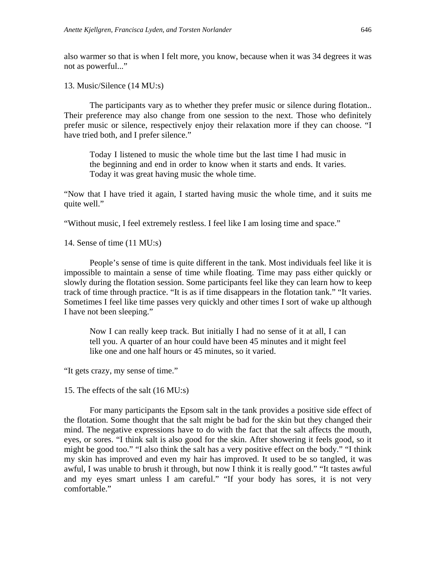also warmer so that is when I felt more, you know, because when it was 34 degrees it was not as powerful..."

13. Music/Silence (14 MU:s)

The participants vary as to whether they prefer music or silence during flotation.. Their preference may also change from one session to the next. Those who definitely prefer music or silence, respectively enjoy their relaxation more if they can choose. "I have tried both, and I prefer silence."

Today I listened to music the whole time but the last time I had music in the beginning and end in order to know when it starts and ends. It varies. Today it was great having music the whole time.

"Now that I have tried it again, I started having music the whole time, and it suits me quite well."

"Without music, I feel extremely restless. I feel like I am losing time and space."

14. Sense of time (11 MU:s)

People's sense of time is quite different in the tank. Most individuals feel like it is impossible to maintain a sense of time while floating. Time may pass either quickly or slowly during the flotation session. Some participants feel like they can learn how to keep track of time through practice. "It is as if time disappears in the flotation tank." "It varies. Sometimes I feel like time passes very quickly and other times I sort of wake up although I have not been sleeping."

Now I can really keep track. But initially I had no sense of it at all, I can tell you. A quarter of an hour could have been 45 minutes and it might feel like one and one half hours or 45 minutes, so it varied.

"It gets crazy, my sense of time."

15. The effects of the salt (16 MU:s)

For many participants the Epsom salt in the tank provides a positive side effect of the flotation. Some thought that the salt might be bad for the skin but they changed their mind. The negative expressions have to do with the fact that the salt affects the mouth, eyes, or sores. "I think salt is also good for the skin. After showering it feels good, so it might be good too." "I also think the salt has a very positive effect on the body." "I think my skin has improved and even my hair has improved. It used to be so tangled, it was awful, I was unable to brush it through, but now I think it is really good." "It tastes awful and my eyes smart unless I am careful." "If your body has sores, it is not very comfortable."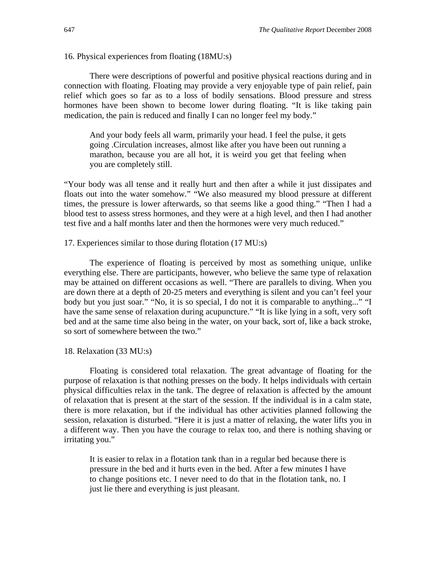## 16. Physical experiences from floating (18MU:s)

There were descriptions of powerful and positive physical reactions during and in connection with floating. Floating may provide a very enjoyable type of pain relief, pain relief which goes so far as to a loss of bodily sensations. Blood pressure and stress hormones have been shown to become lower during floating. "It is like taking pain medication, the pain is reduced and finally I can no longer feel my body."

And your body feels all warm, primarily your head. I feel the pulse, it gets going .Circulation increases, almost like after you have been out running a marathon, because you are all hot, it is weird you get that feeling when you are completely still.

"Your body was all tense and it really hurt and then after a while it just dissipates and floats out into the water somehow." "We also measured my blood pressure at different times, the pressure is lower afterwards, so that seems like a good thing." "Then I had a blood test to assess stress hormones, and they were at a high level, and then I had another test five and a half months later and then the hormones were very much reduced."

## 17. Experiences similar to those during flotation (17 MU:s)

The experience of floating is perceived by most as something unique, unlike everything else. There are participants, however, who believe the same type of relaxation may be attained on different occasions as well. "There are parallels to diving. When you are down there at a depth of 20-25 meters and everything is silent and you can't feel your body but you just soar." "No, it is so special, I do not it is comparable to anything..." "I have the same sense of relaxation during acupuncture." "It is like lying in a soft, very soft bed and at the same time also being in the water, on your back, sort of, like a back stroke, so sort of somewhere between the two."

#### 18. Relaxation (33 MU:s)

Floating is considered total relaxation. The great advantage of floating for the purpose of relaxation is that nothing presses on the body. It helps individuals with certain physical difficulties relax in the tank. The degree of relaxation is affected by the amount of relaxation that is present at the start of the session. If the individual is in a calm state, there is more relaxation, but if the individual has other activities planned following the session, relaxation is disturbed. "Here it is just a matter of relaxing, the water lifts you in a different way. Then you have the courage to relax too, and there is nothing shaving or irritating you."

It is easier to relax in a flotation tank than in a regular bed because there is pressure in the bed and it hurts even in the bed. After a few minutes I have to change positions etc. I never need to do that in the flotation tank, no. I just lie there and everything is just pleasant.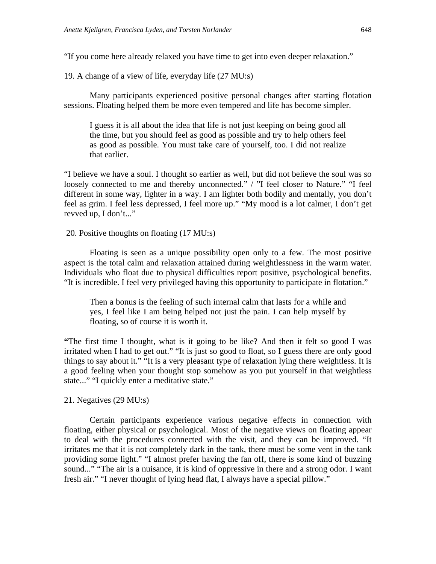"If you come here already relaxed you have time to get into even deeper relaxation."

19. A change of a view of life, everyday life (27 MU:s)

Many participants experienced positive personal changes after starting flotation sessions. Floating helped them be more even tempered and life has become simpler.

I guess it is all about the idea that life is not just keeping on being good all the time, but you should feel as good as possible and try to help others feel as good as possible. You must take care of yourself, too. I did not realize that earlier.

"I believe we have a soul. I thought so earlier as well, but did not believe the soul was so loosely connected to me and thereby unconnected." / "I feel closer to Nature." "I feel different in some way, lighter in a way. I am lighter both bodily and mentally, you don't feel as grim. I feel less depressed, I feel more up." "My mood is a lot calmer, I don't get revved up, I don't..."

#### 20. Positive thoughts on floating (17 MU:s)

Floating is seen as a unique possibility open only to a few. The most positive aspect is the total calm and relaxation attained during weightlessness in the warm water. Individuals who float due to physical difficulties report positive, psychological benefits. "It is incredible. I feel very privileged having this opportunity to participate in flotation."

Then a bonus is the feeling of such internal calm that lasts for a while and yes, I feel like I am being helped not just the pain. I can help myself by floating, so of course it is worth it.

**"**The first time I thought, what is it going to be like? And then it felt so good I was irritated when I had to get out." "It is just so good to float, so I guess there are only good things to say about it." "It is a very pleasant type of relaxation lying there weightless. It is a good feeling when your thought stop somehow as you put yourself in that weightless state..." "I quickly enter a meditative state."

## 21. Negatives (29 MU:s)

Certain participants experience various negative effects in connection with floating, either physical or psychological. Most of the negative views on floating appear to deal with the procedures connected with the visit, and they can be improved. "It irritates me that it is not completely dark in the tank, there must be some vent in the tank providing some light." "I almost prefer having the fan off, there is some kind of buzzing sound..." "The air is a nuisance, it is kind of oppressive in there and a strong odor. I want fresh air." "I never thought of lying head flat, I always have a special pillow."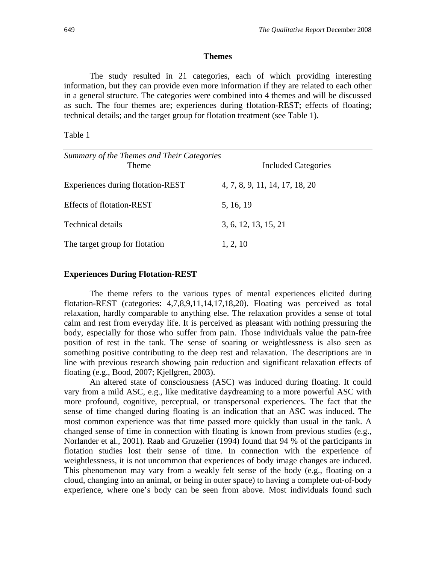#### **Themes**

 The study resulted in 21 categories, each of which providing interesting information, but they can provide even more information if they are related to each other in a general structure. The categories were combined into 4 themes and will be discussed as such. The four themes are; experiences during flotation-REST; effects of floating; technical details; and the target group for flotation treatment (see Table 1).

Table 1

| Summary of the Themes and Their Categories<br><b>Theme</b> | <b>Included Categories</b>     |
|------------------------------------------------------------|--------------------------------|
| Experiences during flotation-REST                          | 4, 7, 8, 9, 11, 14, 17, 18, 20 |
| <b>Effects of flotation-REST</b>                           | 5, 16, 19                      |
| Technical details                                          | 3, 6, 12, 13, 15, 21           |
| The target group for flotation                             | 1, 2, 10                       |

## **Experiences During Flotation-REST**

The theme refers to the various types of mental experiences elicited during flotation-REST (categories: 4,7,8,9,11,14,17,18,20). Floating was perceived as total relaxation, hardly comparable to anything else. The relaxation provides a sense of total calm and rest from everyday life. It is perceived as pleasant with nothing pressuring the body, especially for those who suffer from pain. Those individuals value the pain-free position of rest in the tank. The sense of soaring or weightlessness is also seen as something positive contributing to the deep rest and relaxation. The descriptions are in line with previous research showing pain reduction and significant relaxation effects of floating (e.g., Bood, 2007; Kjellgren, 2003).

An altered state of consciousness (ASC) was induced during floating. It could vary from a mild ASC, e.g., like meditative daydreaming to a more powerful ASC with more profound, cognitive, perceptual, or transpersonal experiences. The fact that the sense of time changed during floating is an indication that an ASC was induced. The most common experience was that time passed more quickly than usual in the tank. A changed sense of time in connection with floating is known from previous studies (e.g., Norlander et al., 2001). Raab and Gruzelier (1994) found that 94 % of the participants in flotation studies lost their sense of time. In connection with the experience of weightlessness, it is not uncommon that experiences of body image changes are induced. This phenomenon may vary from a weakly felt sense of the body (e.g., floating on a cloud, changing into an animal, or being in outer space) to having a complete out-of-body experience, where one's body can be seen from above. Most individuals found such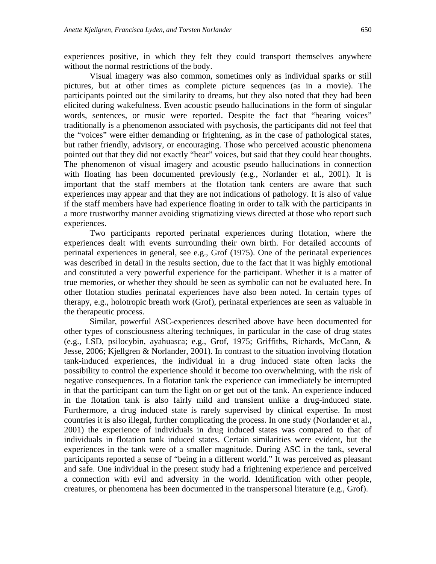experiences positive, in which they felt they could transport themselves anywhere without the normal restrictions of the body.

Visual imagery was also common, sometimes only as individual sparks or still pictures, but at other times as complete picture sequences (as in a movie). The participants pointed out the similarity to dreams, but they also noted that they had been elicited during wakefulness. Even acoustic pseudo hallucinations in the form of singular words, sentences, or music were reported. Despite the fact that "hearing voices" traditionally is a phenomenon associated with psychosis, the participants did not feel that the "voices" were either demanding or frightening, as in the case of pathological states, but rather friendly, advisory, or encouraging. Those who perceived acoustic phenomena pointed out that they did not exactly "hear" voices, but said that they could hear thoughts. The phenomenon of visual imagery and acoustic pseudo hallucinations in connection with floating has been documented previously (e.g., Norlander et al., 2001). It is important that the staff members at the flotation tank centers are aware that such experiences may appear and that they are not indications of pathology. It is also of value if the staff members have had experience floating in order to talk with the participants in a more trustworthy manner avoiding stigmatizing views directed at those who report such experiences.

Two participants reported perinatal experiences during flotation, where the experiences dealt with events surrounding their own birth. For detailed accounts of perinatal experiences in general, see e.g., Grof (1975). One of the perinatal experiences was described in detail in the results section, due to the fact that it was highly emotional and constituted a very powerful experience for the participant. Whether it is a matter of true memories, or whether they should be seen as symbolic can not be evaluated here. In other flotation studies perinatal experiences have also been noted. In certain types of therapy, e.g., holotropic breath work (Grof), perinatal experiences are seen as valuable in the therapeutic process.

Similar, powerful ASC-experiences described above have been documented for other types of consciousness altering techniques, in particular in the case of drug states (e.g., LSD, psilocybin, ayahuasca; e.g., Grof, 1975; Griffiths, Richards, McCann, & Jesse, 2006; Kjellgren & Norlander, 2001). In contrast to the situation involving flotation tank-induced experiences, the individual in a drug induced state often lacks the possibility to control the experience should it become too overwhelming, with the risk of negative consequences. In a flotation tank the experience can immediately be interrupted in that the participant can turn the light on or get out of the tank. An experience induced in the flotation tank is also fairly mild and transient unlike a drug-induced state. Furthermore, a drug induced state is rarely supervised by clinical expertise. In most countries it is also illegal, further complicating the process. In one study (Norlander et al., 2001) the experience of individuals in drug induced states was compared to that of individuals in flotation tank induced states. Certain similarities were evident, but the experiences in the tank were of a smaller magnitude. During ASC in the tank, several participants reported a sense of "being in a different world." It was perceived as pleasant and safe. One individual in the present study had a frightening experience and perceived a connection with evil and adversity in the world. Identification with other people, creatures, or phenomena has been documented in the transpersonal literature (e.g., Grof).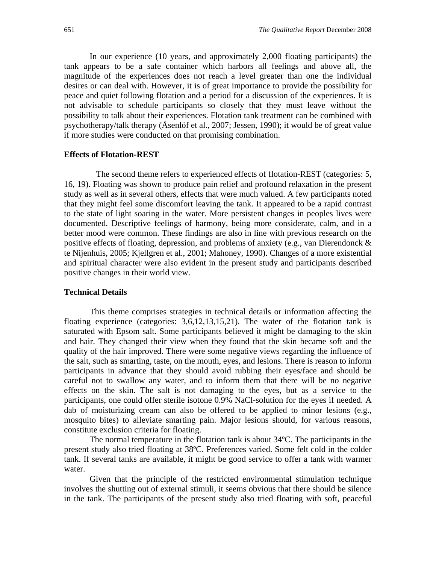In our experience (10 years, and approximately 2,000 floating participants) the tank appears to be a safe container which harbors all feelings and above all, the magnitude of the experiences does not reach a level greater than one the individual desires or can deal with. However, it is of great importance to provide the possibility for peace and quiet following flotation and a period for a discussion of the experiences. It is not advisable to schedule participants so closely that they must leave without the possibility to talk about their experiences. Flotation tank treatment can be combined with psychotherapy/talk therapy (Åsenlöf et al., 2007; Jessen, 1990); it would be of great value if more studies were conducted on that promising combination.

### **Effects of Flotation-REST**

 The second theme refers to experienced effects of flotation-REST (categories: 5, 16, 19). Floating was shown to produce pain relief and profound relaxation in the present study as well as in several others, effects that were much valued. A few participants noted that they might feel some discomfort leaving the tank. It appeared to be a rapid contrast to the state of light soaring in the water. More persistent changes in peoples lives were documented. Descriptive feelings of harmony, being more considerate, calm, and in a better mood were common. These findings are also in line with previous research on the positive effects of floating, depression, and problems of anxiety (e.g., van Dierendonck & te Nijenhuis, 2005; Kjellgren et al., 2001; Mahoney, 1990). Changes of a more existential and spiritual character were also evident in the present study and participants described positive changes in their world view.

## **Technical Details**

 This theme comprises strategies in technical details or information affecting the floating experience (categories: 3,6,12,13,15,21). The water of the flotation tank is saturated with Epsom salt. Some participants believed it might be damaging to the skin and hair. They changed their view when they found that the skin became soft and the quality of the hair improved. There were some negative views regarding the influence of the salt, such as smarting, taste, on the mouth, eyes, and lesions. There is reason to inform participants in advance that they should avoid rubbing their eyes/face and should be careful not to swallow any water, and to inform them that there will be no negative effects on the skin. The salt is not damaging to the eyes, but as a service to the participants, one could offer sterile isotone 0.9% NaCl-solution for the eyes if needed. A dab of moisturizing cream can also be offered to be applied to minor lesions (e.g., mosquito bites) to alleviate smarting pain. Major lesions should, for various reasons, constitute exclusion criteria for floating.

The normal temperature in the flotation tank is about 34ºC. The participants in the present study also tried floating at 38ºC. Preferences varied. Some felt cold in the colder tank. If several tanks are available, it might be good service to offer a tank with warmer water.

 Given that the principle of the restricted environmental stimulation technique involves the shutting out of external stimuli, it seems obvious that there should be silence in the tank. The participants of the present study also tried floating with soft, peaceful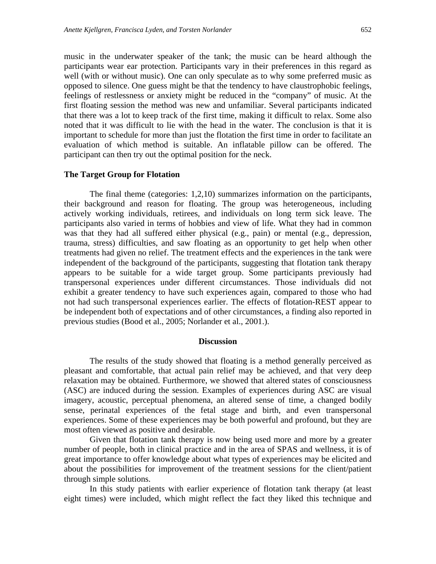music in the underwater speaker of the tank; the music can be heard although the participants wear ear protection. Participants vary in their preferences in this regard as well (with or without music). One can only speculate as to why some preferred music as opposed to silence. One guess might be that the tendency to have claustrophobic feelings, feelings of restlessness or anxiety might be reduced in the "company" of music. At the first floating session the method was new and unfamiliar. Several participants indicated that there was a lot to keep track of the first time, making it difficult to relax. Some also noted that it was difficult to lie with the head in the water. The conclusion is that it is important to schedule for more than just the flotation the first time in order to facilitate an evaluation of which method is suitable. An inflatable pillow can be offered. The participant can then try out the optimal position for the neck.

#### **The Target Group for Flotation**

 The final theme (categories: 1,2,10) summarizes information on the participants, their background and reason for floating. The group was heterogeneous, including actively working individuals, retirees, and individuals on long term sick leave. The participants also varied in terms of hobbies and view of life. What they had in common was that they had all suffered either physical (e.g., pain) or mental (e.g., depression, trauma, stress) difficulties, and saw floating as an opportunity to get help when other treatments had given no relief. The treatment effects and the experiences in the tank were independent of the background of the participants, suggesting that flotation tank therapy appears to be suitable for a wide target group. Some participants previously had transpersonal experiences under different circumstances. Those individuals did not exhibit a greater tendency to have such experiences again, compared to those who had not had such transpersonal experiences earlier. The effects of flotation-REST appear to be independent both of expectations and of other circumstances, a finding also reported in previous studies (Bood et al., 2005; Norlander et al., 2001.).

#### **Discussion**

The results of the study showed that floating is a method generally perceived as pleasant and comfortable, that actual pain relief may be achieved, and that very deep relaxation may be obtained. Furthermore, we showed that altered states of consciousness (ASC) are induced during the session. Examples of experiences during ASC are visual imagery, acoustic, perceptual phenomena, an altered sense of time, a changed bodily sense, perinatal experiences of the fetal stage and birth, and even transpersonal experiences. Some of these experiences may be both powerful and profound, but they are most often viewed as positive and desirable.

Given that flotation tank therapy is now being used more and more by a greater number of people, both in clinical practice and in the area of SPAS and wellness, it is of great importance to offer knowledge about what types of experiences may be elicited and about the possibilities for improvement of the treatment sessions for the client/patient through simple solutions.

In this study patients with earlier experience of flotation tank therapy (at least eight times) were included, which might reflect the fact they liked this technique and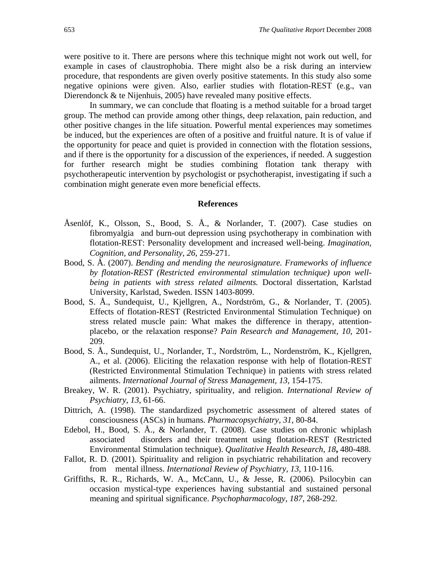were positive to it. There are persons where this technique might not work out well, for example in cases of claustrophobia. There might also be a risk during an interview procedure, that respondents are given overly positive statements. In this study also some negative opinions were given. Also, earlier studies with flotation-REST (e.g., van Dierendonck & te Nijenhuis, 2005) have revealed many positive effects.

In summary, we can conclude that floating is a method suitable for a broad target group. The method can provide among other things, deep relaxation, pain reduction, and other positive changes in the life situation. Powerful mental experiences may sometimes be induced, but the experiences are often of a positive and fruitful nature. It is of value if the opportunity for peace and quiet is provided in connection with the flotation sessions, and if there is the opportunity for a discussion of the experiences, if needed. A suggestion for further research might be studies combining flotation tank therapy with psychotherapeutic intervention by psychologist or psychotherapist, investigating if such a combination might generate even more beneficial effects.

#### **References**

- Åsenlöf, K., Olsson, S., Bood, S. Å., & Norlander, T. (2007). Case studies on fibromyalgia and burn-out depression using psychotherapy in combination with flotation-REST: Personality development and increased well-being. *Imagination, Cognition, and Personality, 26*, 259-271.
- Bood, S. Å. (2007). *Bending and mending the neurosignature. Frameworks of influence by flotation-REST (Restricted environmental stimulation technique) upon wellbeing in patients with stress related ailments.* Doctoral dissertation, Karlstad University, Karlstad, Sweden. ISSN 1403-8099.
- Bood, S. Å., Sundequist, U., Kjellgren, A., Nordström, G., & Norlander, T. (2005). Effects of flotation-REST (Restricted Environmental Stimulation Technique) on stress related muscle pain: What makes the difference in therapy, attentionplacebo, or the relaxation response? *Pain Research and Management, 10*, 201- 209.
- Bood, S. Å., Sundequist, U., Norlander, T., Nordström, L., Nordenström, K., Kjellgren, A., et al. (2006). Eliciting the relaxation response with help of flotation-REST (Restricted Environmental Stimulation Technique) in patients with stress related ailments. *International Journal of Stress Management, 13*, 154-175.
- Breakey, W. R. (2001). Psychiatry, spirituality, and religion. *International Review of Psychiatry*, *13*, 61-66.
- Dittrich, A. (1998). The standardized psychometric assessment of altered states of consciousness (ASCs) in humans. *Pharmacopsychiatry, 31*, 80-84.
- Edebol, H., Bood, S. Å., & Norlander, T. (2008). Case studies on chronic whiplash associated disorders and their treatment using flotation-REST (Restricted Environmental Stimulation technique). *Qualitative Health Research*, *18***,** 480-488.
- Fallot, R. D. (2001). Spirituality and religion in psychiatric rehabilitation and recovery from mental illness. *International Review of Psychiatry, 13*, 110-116.
- Griffiths, R. R., Richards, W. A., McCann, U., & Jesse, R. (2006). Psilocybin can occasion mystical-type experiences having substantial and sustained personal meaning and spiritual significance. *Psychopharmacology*, *187*, 268-292.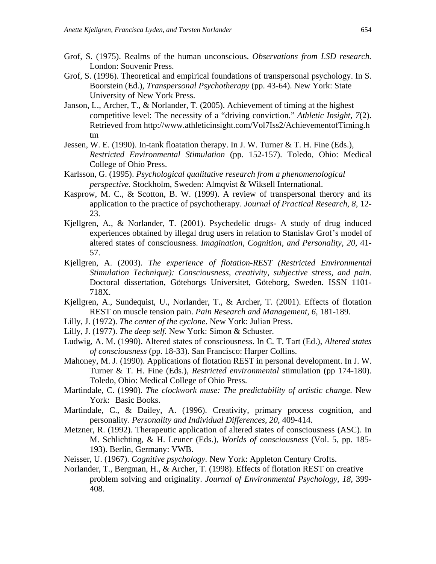- Grof, S. (1975). Realms of the human unconscious. *Observations from LSD research.* London: Souvenir Press.
- Grof, S. (1996). Theoretical and empirical foundations of transpersonal psychology. In S. Boorstein (Ed.), *Transpersonal Psychotherapy* (pp. 43-64). New York: State University of New York Press.
- Janson, L., Archer, T., & Norlander, T. (2005). Achievement of timing at the highest competitive level: The necessity of a "driving conviction." *Athletic Insight, 7*(2). Retrieved from http://www.athleticinsight.com/Vol7Iss2/AchievementofTiming.h tm
- Jessen, W. E. (1990). In-tank floatation therapy. In J. W. Turner & T. H. Fine (Eds.), *Restricted Environmental Stimulation* (pp. 152-157). Toledo, Ohio: Medical College of Ohio Press.
- Karlsson, G. (1995). *Psychological qualitative research from a phenomenological perspective.* Stockholm, Sweden: Almqvist & Wiksell International.
- Kasprow, M. C., & Scotton, B. W. (1999). A review of transpersonal therory and its application to the practice of psychotherapy. *Journal of Practical Research*, *8*, 12- 23.
- Kjellgren, A., & Norlander, T. (2001). Psychedelic drugs- A study of drug induced experiences obtained by illegal drug users in relation to Stanislav Grof's model of altered states of consciousness. *Imagination, Cognition, and Personality, 20*, 41- 57.
- Kjellgren, A. (2003). *The experience of flotation-REST (Restricted Environmental Stimulation Technique): Consciousness, creativity, subjective stress, and pain.*  Doctoral dissertation, Göteborgs Universitet, Göteborg, Sweden. ISSN 1101- 718X.
- Kjellgren, A., Sundequist, U., Norlander, T., & Archer, T. (2001). Effects of flotation REST on muscle tension pain. *Pain Research and Management*, *6*, 181-189.
- Lilly, J. (1972). *The center of the cyclone*. New York: Julian Press.
- Lilly, J. (1977). *The deep self.* New York: Simon & Schuster.
- Ludwig, A. M. (1990). Altered states of consciousness. In C. T. Tart (Ed.), *Altered states of consciousness* (pp. 18-33). San Francisco: Harper Collins.
- Mahoney, M. J. (1990). Applications of flotation REST in personal development. In J. W. Turner & T. H. Fine (Eds.), *Restricted environmental* stimulation (pp 174-180). Toledo, Ohio: Medical College of Ohio Press.
- Martindale, C. (1990). *The clockwork muse: The predictability of artistic change.* New York: Basic Books.
- Martindale, C., & Dailey, A. (1996). Creativity, primary process cognition, and personality. *Personality and Individual Differences*, *20*, 409-414.
- Metzner, R. (1992). Therapeutic application of altered states of consciousness (ASC). In M. Schlichting, & H. Leuner (Eds.), *Worlds of consciousness* (Vol. 5, pp. 185- 193). Berlin, Germany: VWB.
- Neisser, U. (1967). *Cognitive psychology.* New York: Appleton Century Crofts.
- Norlander, T., Bergman, H., & Archer, T. (1998). Effects of flotation REST on creative problem solving and originality. *Journal of Environmental Psychology*, *18*, 399- 408.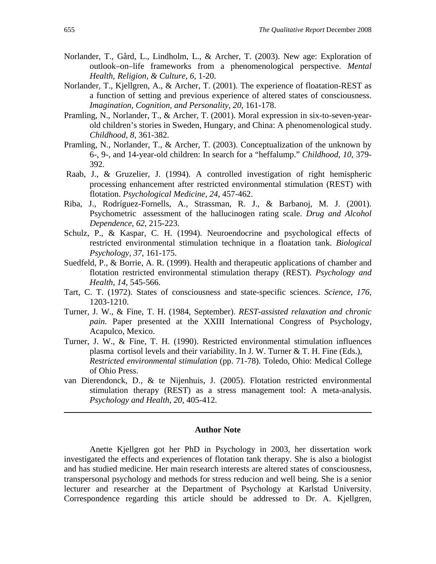- Norlander, T., Gård, L., Lindholm, L., & Archer, T. (2003). New age: Exploration of outlook–on–life frameworks from a phenomenological perspective. *Mental Health, Religion, & Culture, 6*, 1-20.
- Norlander, T., Kjellgren, A., & Archer, T. (2001). The experience of floatation-REST as a function of setting and previous experience of altered states of consciousness. *Imagination, Cognition, and Personality*, *20*, 161-178.
- Pramling, N., Norlander, T., & Archer, T. (2001). Moral expression in six-to-seven-yearold children's stories in Sweden, Hungary, and China: A phenomenological study. *Childhood, 8*, 361-382.
- Pramling, N., Norlander, T., & Archer, T. (2003). Conceptualization of the unknown by 6-, 9-, and 14-year-old children: In search for a "heffalump." *Childhood, 10*, 379- 392.
- Raab, J., & Gruzelier, J. (1994). A controlled investigation of right hemispheric processing enhancement after restricted environmental stimulation (REST) with flotation. *Psychological Medicine, 24*, 457-462.
- Riba, J., Rodríguez-Fornells, A., Strassman, R. J., & Barbanoj, M. J. (2001). Psychometric assessment of the hallucinogen rating scale. *Drug and Alcohol Dependence, 62*, 215-223.
- Schulz, P., & Kaspar, C. H. (1994). Neuroendocrine and psychological effects of restricted environmental stimulation technique in a floatation tank. *Biological Psychology*, *37*, 161-175.
- Suedfeld, P., & Borrie, A. R. (1999). Health and therapeutic applications of chamber and flotation restricted environmental stimulation therapy (REST). *Psychology and Health, 14*, 545-566.
- Tart, C. T. (1972). States of consciousness and state-specific sciences. *Science, 176*, 1203-1210.
- Turner, J. W., & Fine, T. H. (1984, September). *REST-assisted relaxation and chronic pain.* Paper presented at the XXIII International Congress of Psychology, Acapulco, Mexico.
- Turner, J. W., & Fine, T. H. (1990). Restricted environmental stimulation influences plasma cortisol levels and their variability. In J. W. Turner & T. H. Fine (Eds.), *Restricted environmental stimulation* (pp. 71-78). Toledo, Ohio: Medical College of Ohio Press.
- van Dierendonck, D., & te Nijenhuis, J. (2005). Flotation restricted environmental stimulation therapy (REST) as a stress management tool: A meta-analysis. *Psychology and Health, 20*, 405-412.

#### **Author Note**

Anette Kjellgren got her PhD in Psychology in 2003, her dissertation work investigated the effects and experiences of flotation tank therapy. She is also a biologist and has studied medicine. Her main research interests are altered states of consciousness, transpersonal psychology and methods for stress reducion and well being. She is a senior lecturer and researcher at the Department of Psychology at Karlstad University. Correspondence regarding this article should be addressed to Dr. A. Kjellgren,